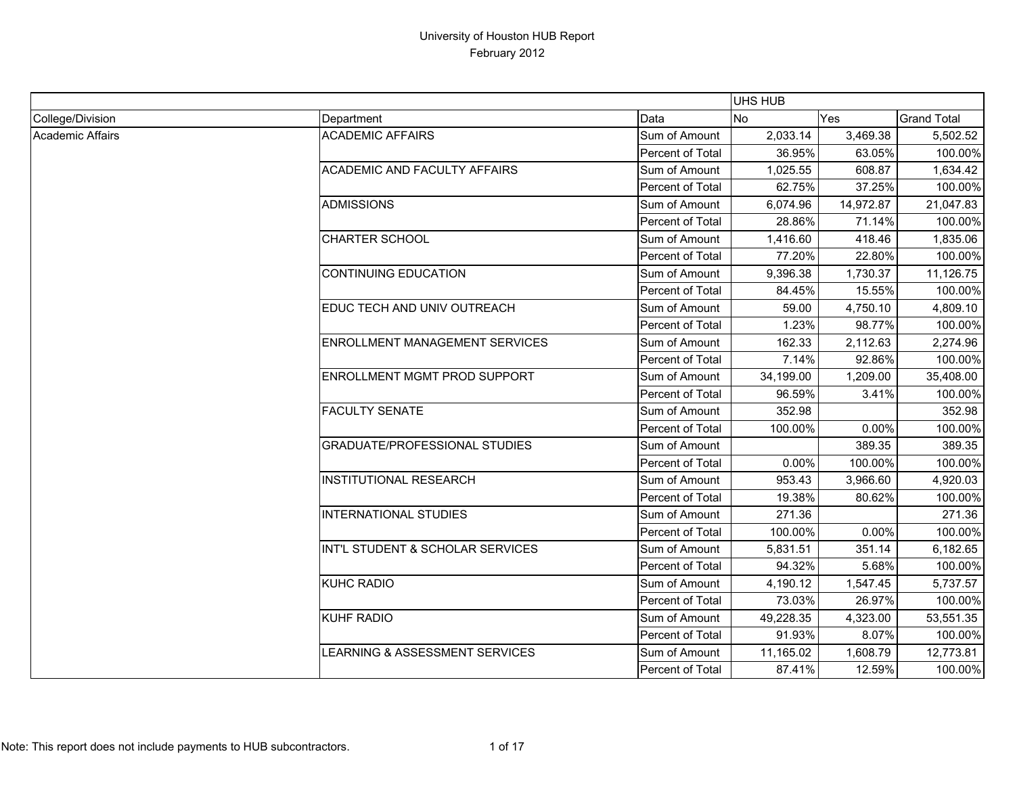|                  |                                       |                  | UHS HUB   |            |                    |
|------------------|---------------------------------------|------------------|-----------|------------|--------------------|
| College/Division | Department                            | Data             | No        | <b>Yes</b> | <b>Grand Total</b> |
| Academic Affairs | <b>ACADEMIC AFFAIRS</b>               | Sum of Amount    | 2,033.14  | 3,469.38   | 5,502.52           |
|                  |                                       | Percent of Total | 36.95%    | 63.05%     | 100.00%            |
|                  | <b>ACADEMIC AND FACULTY AFFAIRS</b>   | Sum of Amount    | 1,025.55  | 608.87     | 1,634.42           |
|                  |                                       | Percent of Total | 62.75%    | 37.25%     | 100.00%            |
|                  | <b>ADMISSIONS</b>                     | Sum of Amount    | 6,074.96  | 14,972.87  | 21,047.83          |
|                  |                                       | Percent of Total | 28.86%    | 71.14%     | 100.00%            |
|                  | <b>CHARTER SCHOOL</b>                 | Sum of Amount    | 1,416.60  | 418.46     | 1,835.06           |
|                  |                                       | Percent of Total | 77.20%    | 22.80%     | 100.00%            |
|                  | <b>CONTINUING EDUCATION</b>           | Sum of Amount    | 9,396.38  | 1,730.37   | 11,126.75          |
|                  |                                       | Percent of Total | 84.45%    | 15.55%     | 100.00%            |
|                  | EDUC TECH AND UNIV OUTREACH           | Sum of Amount    | 59.00     | 4,750.10   | 4,809.10           |
|                  |                                       | Percent of Total | 1.23%     | 98.77%     | 100.00%            |
|                  | <b>ENROLLMENT MANAGEMENT SERVICES</b> | Sum of Amount    | 162.33    | 2,112.63   | 2,274.96           |
|                  |                                       | Percent of Total | 7.14%     | 92.86%     | 100.00%            |
|                  | <b>ENROLLMENT MGMT PROD SUPPORT</b>   | Sum of Amount    | 34,199.00 | 1,209.00   | 35,408.00          |
|                  |                                       | Percent of Total | 96.59%    | 3.41%      | 100.00%            |
|                  | <b>FACULTY SENATE</b>                 | Sum of Amount    | 352.98    |            | 352.98             |
|                  |                                       | Percent of Total | 100.00%   | 0.00%      | 100.00%            |
|                  | <b>GRADUATE/PROFESSIONAL STUDIES</b>  | Sum of Amount    |           | 389.35     | 389.35             |
|                  |                                       | Percent of Total | 0.00%     | 100.00%    | 100.00%            |
|                  | <b>INSTITUTIONAL RESEARCH</b>         | Sum of Amount    | 953.43    | 3,966.60   | 4,920.03           |
|                  |                                       | Percent of Total | 19.38%    | 80.62%     | 100.00%            |
|                  | <b>INTERNATIONAL STUDIES</b>          | Sum of Amount    | 271.36    |            | 271.36             |
|                  |                                       | Percent of Total | 100.00%   | 0.00%      | 100.00%            |
|                  | INT'L STUDENT & SCHOLAR SERVICES      | Sum of Amount    | 5,831.51  | 351.14     | 6,182.65           |
|                  |                                       | Percent of Total | 94.32%    | 5.68%      | 100.00%            |
|                  | KUHC RADIO                            | Sum of Amount    | 4,190.12  | 1,547.45   | 5,737.57           |
|                  |                                       | Percent of Total | 73.03%    | 26.97%     | 100.00%            |
|                  | <b>KUHF RADIO</b>                     | Sum of Amount    | 49,228.35 | 4,323.00   | 53,551.35          |
|                  |                                       | Percent of Total | 91.93%    | 8.07%      | 100.00%            |
|                  | LEARNING & ASSESSMENT SERVICES        | Sum of Amount    | 11,165.02 | 1,608.79   | 12,773.81          |
|                  |                                       | Percent of Total | 87.41%    | 12.59%     | 100.00%            |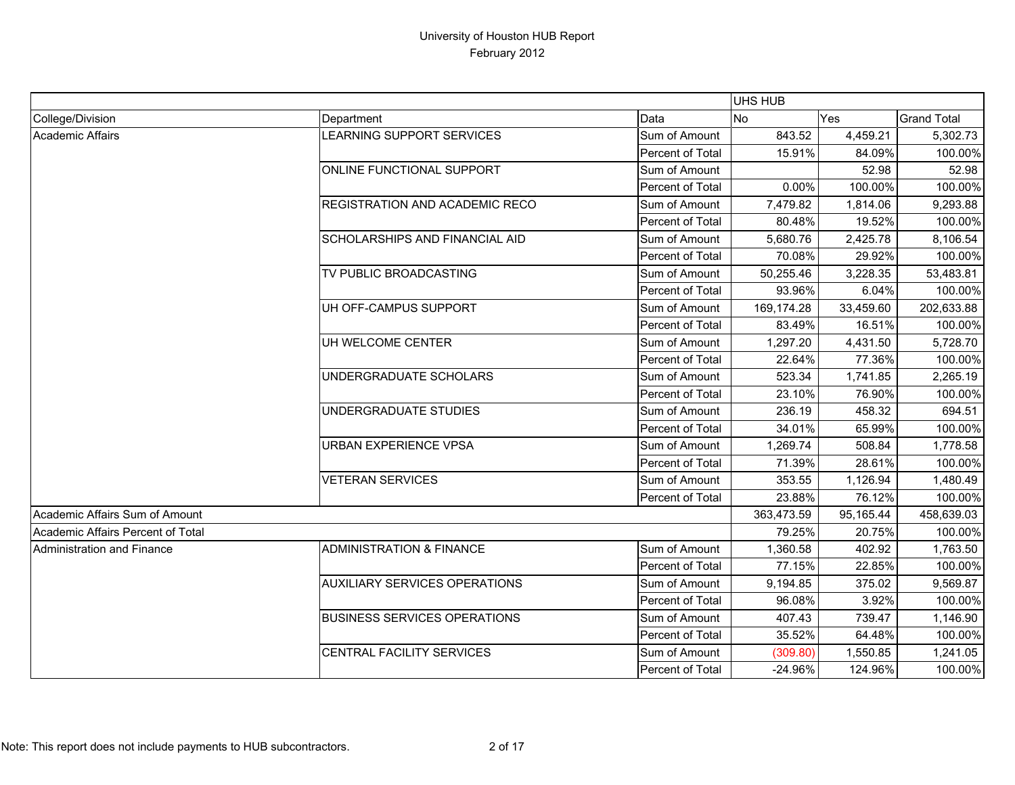|                                   |                                      |                  | <b>UHS HUB</b> |           |                    |
|-----------------------------------|--------------------------------------|------------------|----------------|-----------|--------------------|
| College/Division                  | Department                           | Data             | No             | Yes       | <b>Grand Total</b> |
| Academic Affairs                  | LEARNING SUPPORT SERVICES            | Sum of Amount    | 843.52         | 4,459.21  | 5,302.73           |
|                                   |                                      | Percent of Total | 15.91%         | 84.09%    | 100.00%            |
|                                   | ONLINE FUNCTIONAL SUPPORT            | Sum of Amount    |                | 52.98     | 52.98              |
|                                   |                                      | Percent of Total | 0.00%          | 100.00%   | 100.00%            |
|                                   | REGISTRATION AND ACADEMIC RECO       | Sum of Amount    | 7,479.82       | 1,814.06  | 9,293.88           |
|                                   |                                      | Percent of Total | 80.48%         | 19.52%    | 100.00%            |
|                                   | SCHOLARSHIPS AND FINANCIAL AID       | Sum of Amount    | 5,680.76       | 2,425.78  | 8,106.54           |
|                                   |                                      | Percent of Total | 70.08%         | 29.92%    | 100.00%            |
|                                   | TV PUBLIC BROADCASTING               | Sum of Amount    | 50,255.46      | 3,228.35  | 53,483.81          |
|                                   |                                      | Percent of Total | 93.96%         | 6.04%     | 100.00%            |
|                                   | UH OFF-CAMPUS SUPPORT                | Sum of Amount    | 169,174.28     | 33,459.60 | 202,633.88         |
|                                   |                                      | Percent of Total | 83.49%         | 16.51%    | 100.00%            |
|                                   | UH WELCOME CENTER                    | Sum of Amount    | 1,297.20       | 4,431.50  | 5,728.70           |
|                                   |                                      | Percent of Total | 22.64%         | 77.36%    | 100.00%            |
|                                   | UNDERGRADUATE SCHOLARS               | Sum of Amount    | 523.34         | 1,741.85  | 2,265.19           |
|                                   |                                      | Percent of Total | 23.10%         | 76.90%    | 100.00%            |
|                                   | UNDERGRADUATE STUDIES                | Sum of Amount    | 236.19         | 458.32    | 694.51             |
|                                   |                                      | Percent of Total | 34.01%         | 65.99%    | 100.00%            |
|                                   | <b>URBAN EXPERIENCE VPSA</b>         | Sum of Amount    | 1,269.74       | 508.84    | 1,778.58           |
|                                   |                                      | Percent of Total | 71.39%         | 28.61%    | 100.00%            |
|                                   | <b>VETERAN SERVICES</b>              | Sum of Amount    | 353.55         | 1,126.94  | 1,480.49           |
|                                   |                                      | Percent of Total | 23.88%         | 76.12%    | 100.00%            |
| Academic Affairs Sum of Amount    |                                      |                  | 363,473.59     | 95,165.44 | 458,639.03         |
| Academic Affairs Percent of Total |                                      |                  | 79.25%         | 20.75%    | 100.00%            |
| <b>Administration and Finance</b> | <b>ADMINISTRATION &amp; FINANCE</b>  | Sum of Amount    | 1,360.58       | 402.92    | 1,763.50           |
|                                   |                                      | Percent of Total | 77.15%         | 22.85%    | 100.00%            |
|                                   | <b>AUXILIARY SERVICES OPERATIONS</b> | Sum of Amount    | 9,194.85       | 375.02    | 9,569.87           |
|                                   |                                      | Percent of Total | 96.08%         | 3.92%     | 100.00%            |
|                                   | <b>BUSINESS SERVICES OPERATIONS</b>  | Sum of Amount    | 407.43         | 739.47    | 1,146.90           |
|                                   |                                      | Percent of Total | 35.52%         | 64.48%    | 100.00%            |
|                                   | <b>CENTRAL FACILITY SERVICES</b>     | Sum of Amount    | (309.80)       | 1,550.85  | 1,241.05           |
|                                   |                                      | Percent of Total | $-24.96%$      | 124.96%   | 100.00%            |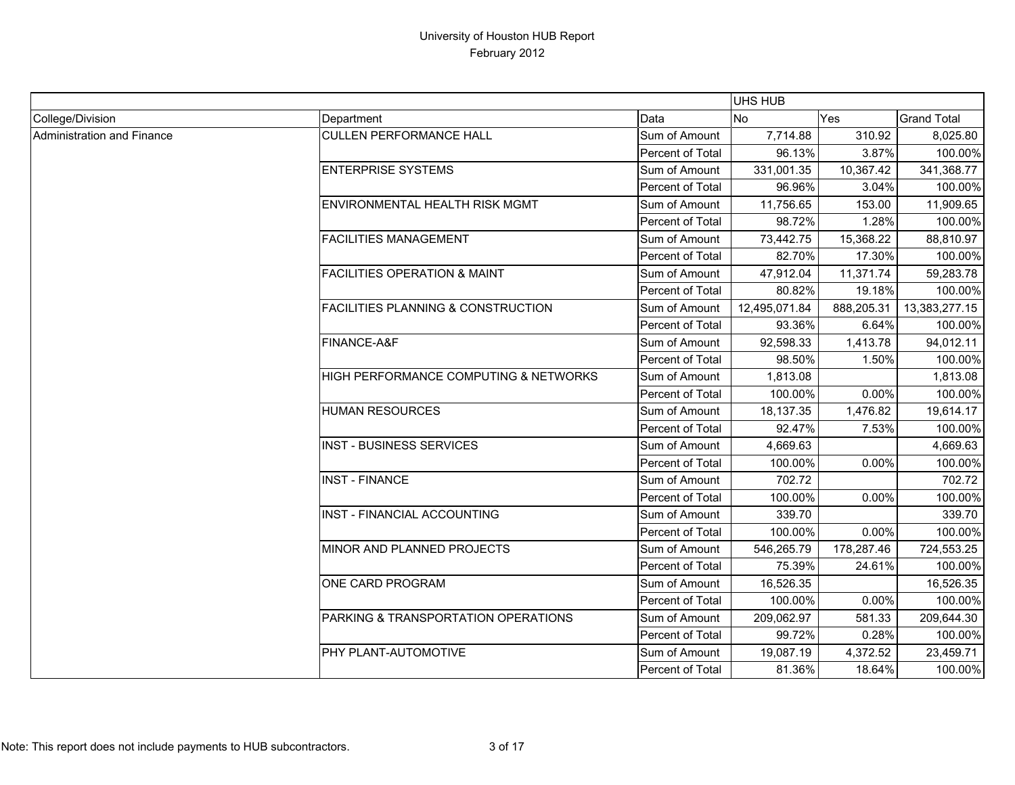|                            |                                         |                         | <b>UHS HUB</b> |            |                    |
|----------------------------|-----------------------------------------|-------------------------|----------------|------------|--------------------|
| College/Division           | Department                              | Data                    | <b>No</b>      | <b>Yes</b> | <b>Grand Total</b> |
| Administration and Finance | <b>CULLEN PERFORMANCE HALL</b>          | Sum of Amount           | 7,714.88       | 310.92     | 8,025.80           |
|                            |                                         | <b>Percent of Total</b> | 96.13%         | 3.87%      | 100.00%            |
|                            | <b>ENTERPRISE SYSTEMS</b>               | Sum of Amount           | 331,001.35     | 10,367.42  | 341,368.77         |
|                            |                                         | Percent of Total        | 96.96%         | 3.04%      | 100.00%            |
|                            | ENVIRONMENTAL HEALTH RISK MGMT          | Sum of Amount           | 11,756.65      | 153.00     | 11,909.65          |
|                            |                                         | Percent of Total        | 98.72%         | 1.28%      | 100.00%            |
|                            | <b>FACILITIES MANAGEMENT</b>            | Sum of Amount           | 73,442.75      | 15,368.22  | 88,810.97          |
|                            |                                         | Percent of Total        | 82.70%         | 17.30%     | 100.00%            |
|                            | <b>FACILITIES OPERATION &amp; MAINT</b> | Sum of Amount           | 47,912.04      | 11,371.74  | 59,283.78          |
|                            |                                         | Percent of Total        | 80.82%         | 19.18%     | 100.00%            |
|                            | FACILITIES PLANNING & CONSTRUCTION      | Sum of Amount           | 12,495,071.84  | 888,205.31 | 13,383,277.15      |
|                            |                                         | Percent of Total        | 93.36%         | 6.64%      | 100.00%            |
|                            | FINANCE-A&F                             | Sum of Amount           | 92,598.33      | 1,413.78   | 94,012.11          |
|                            |                                         | Percent of Total        | 98.50%         | 1.50%      | 100.00%            |
|                            | HIGH PERFORMANCE COMPUTING & NETWORKS   | Sum of Amount           | 1,813.08       |            | 1,813.08           |
|                            |                                         | Percent of Total        | 100.00%        | 0.00%      | 100.00%            |
|                            | <b>HUMAN RESOURCES</b>                  | Sum of Amount           | 18,137.35      | 1,476.82   | 19,614.17          |
|                            |                                         | Percent of Total        | 92.47%         | 7.53%      | 100.00%            |
|                            | <b>INST - BUSINESS SERVICES</b>         | Sum of Amount           | 4,669.63       |            | 4,669.63           |
|                            |                                         | Percent of Total        | 100.00%        | 0.00%      | 100.00%            |
|                            | <b>INST - FINANCE</b>                   | Sum of Amount           | 702.72         |            | 702.72             |
|                            |                                         | Percent of Total        | 100.00%        | 0.00%      | 100.00%            |
|                            | INST - FINANCIAL ACCOUNTING             | Sum of Amount           | 339.70         |            | 339.70             |
|                            |                                         | Percent of Total        | 100.00%        | 0.00%      | 100.00%            |
|                            | MINOR AND PLANNED PROJECTS              | Sum of Amount           | 546,265.79     | 178,287.46 | 724,553.25         |
|                            |                                         | Percent of Total        | 75.39%         | 24.61%     | 100.00%            |
|                            | ONE CARD PROGRAM                        | Sum of Amount           | 16,526.35      |            | 16,526.35          |
|                            |                                         | Percent of Total        | 100.00%        | 0.00%      | 100.00%            |
|                            | PARKING & TRANSPORTATION OPERATIONS     | Sum of Amount           | 209,062.97     | 581.33     | 209,644.30         |
|                            |                                         | Percent of Total        | 99.72%         | 0.28%      | 100.00%            |
|                            | PHY PLANT-AUTOMOTIVE                    | Sum of Amount           | 19,087.19      | 4,372.52   | 23,459.71          |
|                            |                                         | Percent of Total        | 81.36%         | 18.64%     | 100.00%            |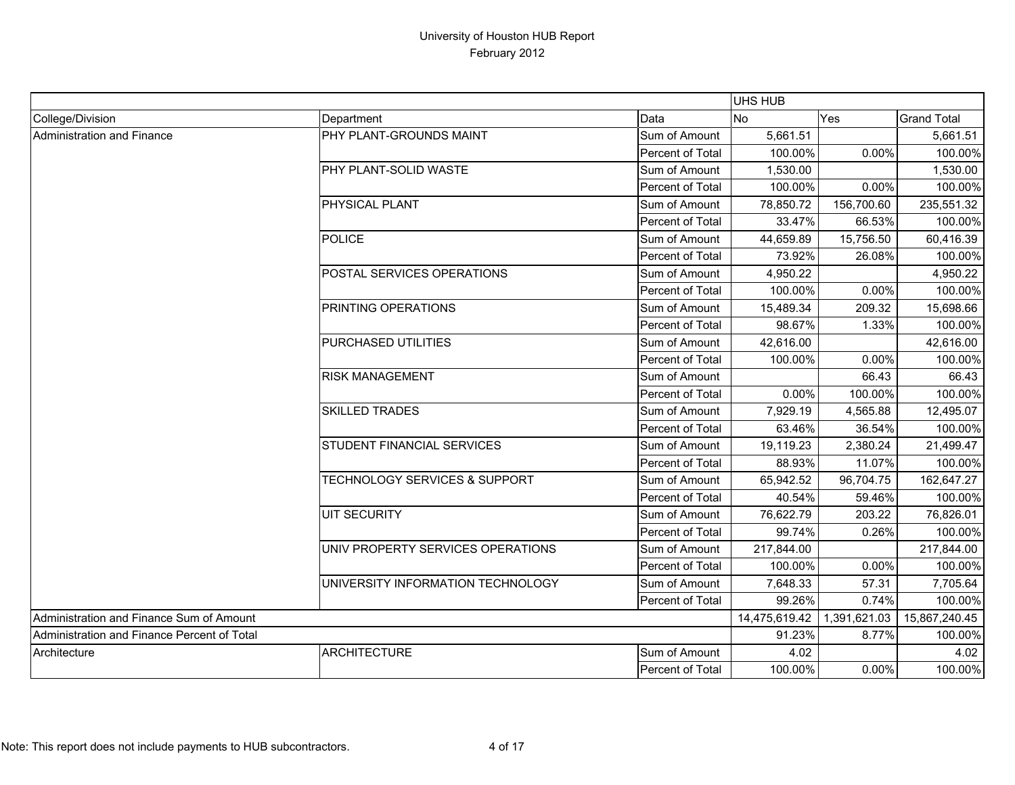|                                             |                                          |                         | UHS HUB       |              |                    |
|---------------------------------------------|------------------------------------------|-------------------------|---------------|--------------|--------------------|
| College/Division                            | Department                               | Data                    | No            | Yes          | <b>Grand Total</b> |
| Administration and Finance                  | PHY PLANT-GROUNDS MAINT                  | Sum of Amount           | 5,661.51      |              | 5,661.51           |
|                                             |                                          | Percent of Total        | 100.00%       | 0.00%        | 100.00%            |
|                                             | <b>PHY PLANT-SOLID WASTE</b>             | Sum of Amount           | 1,530.00      |              | 1,530.00           |
|                                             |                                          | Percent of Total        | 100.00%       | 0.00%        | 100.00%            |
|                                             | PHYSICAL PLANT                           | Sum of Amount           | 78,850.72     | 156,700.60   | 235,551.32         |
|                                             |                                          | Percent of Total        | 33.47%        | 66.53%       | 100.00%            |
|                                             | <b>POLICE</b>                            | Sum of Amount           | 44,659.89     | 15,756.50    | 60,416.39          |
|                                             |                                          | Percent of Total        | 73.92%        | 26.08%       | 100.00%            |
|                                             | POSTAL SERVICES OPERATIONS               | Sum of Amount           | 4,950.22      |              | 4,950.22           |
|                                             |                                          | Percent of Total        | 100.00%       | 0.00%        | 100.00%            |
|                                             | <b>PRINTING OPERATIONS</b>               | Sum of Amount           | 15,489.34     | 209.32       | 15,698.66          |
|                                             |                                          | Percent of Total        | 98.67%        | 1.33%        | 100.00%            |
|                                             | <b>PURCHASED UTILITIES</b>               | Sum of Amount           | 42,616.00     |              | 42,616.00          |
|                                             |                                          | Percent of Total        | 100.00%       | 0.00%        | 100.00%            |
|                                             | <b>RISK MANAGEMENT</b>                   | Sum of Amount           |               | 66.43        | 66.43              |
|                                             |                                          | Percent of Total        | 0.00%         | 100.00%      | 100.00%            |
|                                             | <b>SKILLED TRADES</b>                    | Sum of Amount           | 7,929.19      | 4,565.88     | 12,495.07          |
|                                             |                                          | Percent of Total        | 63.46%        | 36.54%       | 100.00%            |
|                                             | STUDENT FINANCIAL SERVICES               | Sum of Amount           | 19,119.23     | 2,380.24     | 21,499.47          |
|                                             |                                          | Percent of Total        | 88.93%        | 11.07%       | 100.00%            |
|                                             | <b>TECHNOLOGY SERVICES &amp; SUPPORT</b> | Sum of Amount           | 65,942.52     | 96,704.75    | 162,647.27         |
|                                             |                                          | Percent of Total        | 40.54%        | 59.46%       | 100.00%            |
|                                             | <b>UIT SECURITY</b>                      | Sum of Amount           | 76,622.79     | 203.22       | 76,826.01          |
|                                             |                                          | Percent of Total        | 99.74%        | 0.26%        | 100.00%            |
|                                             | UNIV PROPERTY SERVICES OPERATIONS        | Sum of Amount           | 217,844.00    |              | 217,844.00         |
|                                             |                                          | Percent of Total        | 100.00%       | 0.00%        | 100.00%            |
|                                             | UNIVERSITY INFORMATION TECHNOLOGY        | Sum of Amount           | 7,648.33      | 57.31        | 7,705.64           |
|                                             |                                          | Percent of Total        | 99.26%        | 0.74%        | 100.00%            |
| Administration and Finance Sum of Amount    |                                          |                         | 14,475,619.42 | 1,391,621.03 | 15,867,240.45      |
| Administration and Finance Percent of Total |                                          |                         | 91.23%        | 8.77%        | 100.00%            |
| Architecture                                | ARCHITECTURE                             | Sum of Amount           | 4.02          |              | 4.02               |
|                                             |                                          | <b>Percent of Total</b> | 100.00%       | 0.00%        | 100.00%            |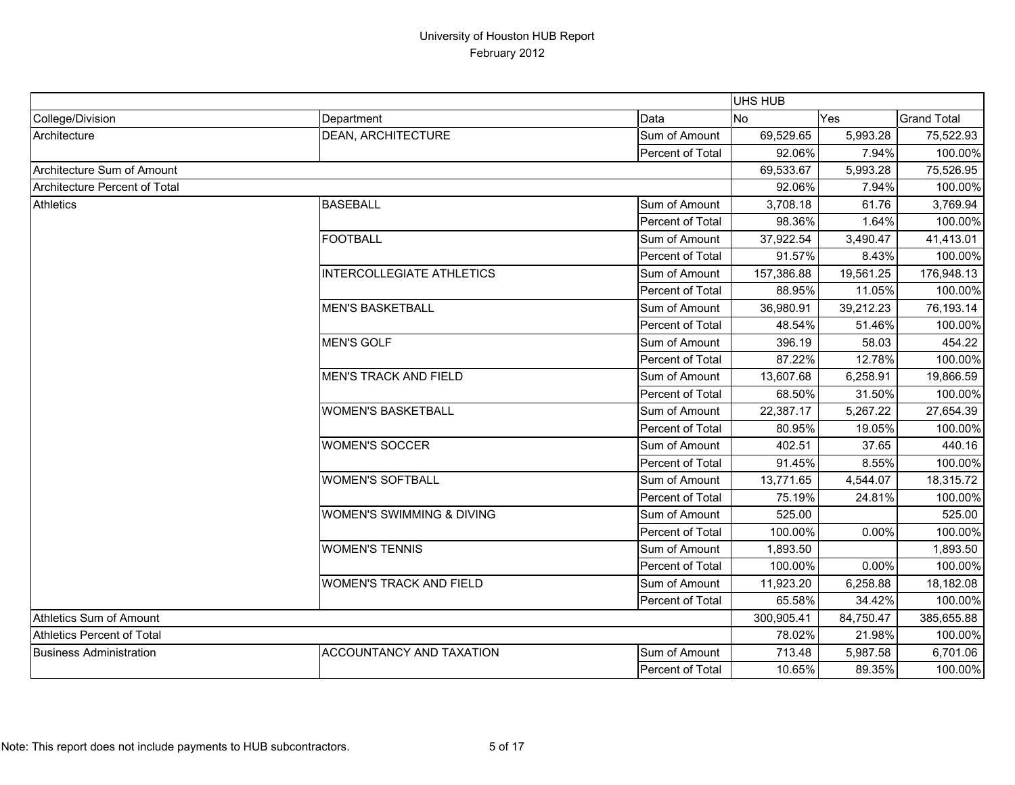|                                   |                                 |                  | UHS HUB        |           |                    |
|-----------------------------------|---------------------------------|------------------|----------------|-----------|--------------------|
| College/Division                  | Department                      | Data             | N <sub>o</sub> | Yes       | <b>Grand Total</b> |
| Architecture                      | <b>DEAN, ARCHITECTURE</b>       | Sum of Amount    | 69,529.65      | 5,993.28  | 75,522.93          |
|                                   |                                 | Percent of Total | 92.06%         | 7.94%     | 100.00%            |
| Architecture Sum of Amount        |                                 |                  | 69,533.67      | 5,993.28  | 75,526.95          |
| Architecture Percent of Total     |                                 |                  | 92.06%         | 7.94%     | 100.00%            |
| <b>Athletics</b>                  | <b>BASEBALL</b>                 | Sum of Amount    | 3,708.18       | 61.76     | 3,769.94           |
|                                   |                                 | Percent of Total | 98.36%         | 1.64%     | 100.00%            |
|                                   | <b>FOOTBALL</b>                 | Sum of Amount    | 37,922.54      | 3,490.47  | 41,413.01          |
|                                   |                                 | Percent of Total | 91.57%         | 8.43%     | 100.00%            |
|                                   | INTERCOLLEGIATE ATHLETICS       | Sum of Amount    | 157,386.88     | 19,561.25 | 176,948.13         |
|                                   |                                 | Percent of Total | 88.95%         | 11.05%    | 100.00%            |
|                                   | <b>MEN'S BASKETBALL</b>         | Sum of Amount    | 36,980.91      | 39,212.23 | 76,193.14          |
|                                   |                                 | Percent of Total | 48.54%         | 51.46%    | 100.00%            |
|                                   | <b>MEN'S GOLF</b>               | Sum of Amount    | 396.19         | 58.03     | 454.22             |
|                                   |                                 | Percent of Total | 87.22%         | 12.78%    | 100.00%            |
|                                   | <b>MEN'S TRACK AND FIELD</b>    | Sum of Amount    | 13,607.68      | 6,258.91  | 19,866.59          |
|                                   |                                 | Percent of Total | 68.50%         | 31.50%    | 100.00%            |
|                                   | <b>WOMEN'S BASKETBALL</b>       | Sum of Amount    | 22,387.17      | 5,267.22  | 27,654.39          |
|                                   |                                 | Percent of Total | 80.95%         | 19.05%    | 100.00%            |
|                                   | <b>WOMEN'S SOCCER</b>           | Sum of Amount    | 402.51         | 37.65     | 440.16             |
|                                   |                                 | Percent of Total | 91.45%         | 8.55%     | 100.00%            |
|                                   | <b>WOMEN'S SOFTBALL</b>         | Sum of Amount    | 13,771.65      | 4,544.07  | 18,315.72          |
|                                   |                                 | Percent of Total | 75.19%         | 24.81%    | 100.00%            |
|                                   | WOMEN'S SWIMMING & DIVING       | Sum of Amount    | 525.00         |           | 525.00             |
|                                   |                                 | Percent of Total | 100.00%        | 0.00%     | 100.00%            |
|                                   | <b>WOMEN'S TENNIS</b>           | Sum of Amount    | 1,893.50       |           | 1,893.50           |
|                                   |                                 | Percent of Total | 100.00%        | 0.00%     | 100.00%            |
|                                   | <b>WOMEN'S TRACK AND FIELD</b>  | Sum of Amount    | 11,923.20      | 6,258.88  | 18,182.08          |
|                                   |                                 | Percent of Total | 65.58%         | 34.42%    | 100.00%            |
| Athletics Sum of Amount           |                                 |                  | 300,905.41     | 84,750.47 | 385,655.88         |
| <b>Athletics Percent of Total</b> |                                 |                  | 78.02%         | 21.98%    | 100.00%            |
| <b>Business Administration</b>    | <b>ACCOUNTANCY AND TAXATION</b> | Sum of Amount    | 713.48         | 5,987.58  | 6,701.06           |
|                                   |                                 | Percent of Total | 10.65%         | 89.35%    | 100.00%            |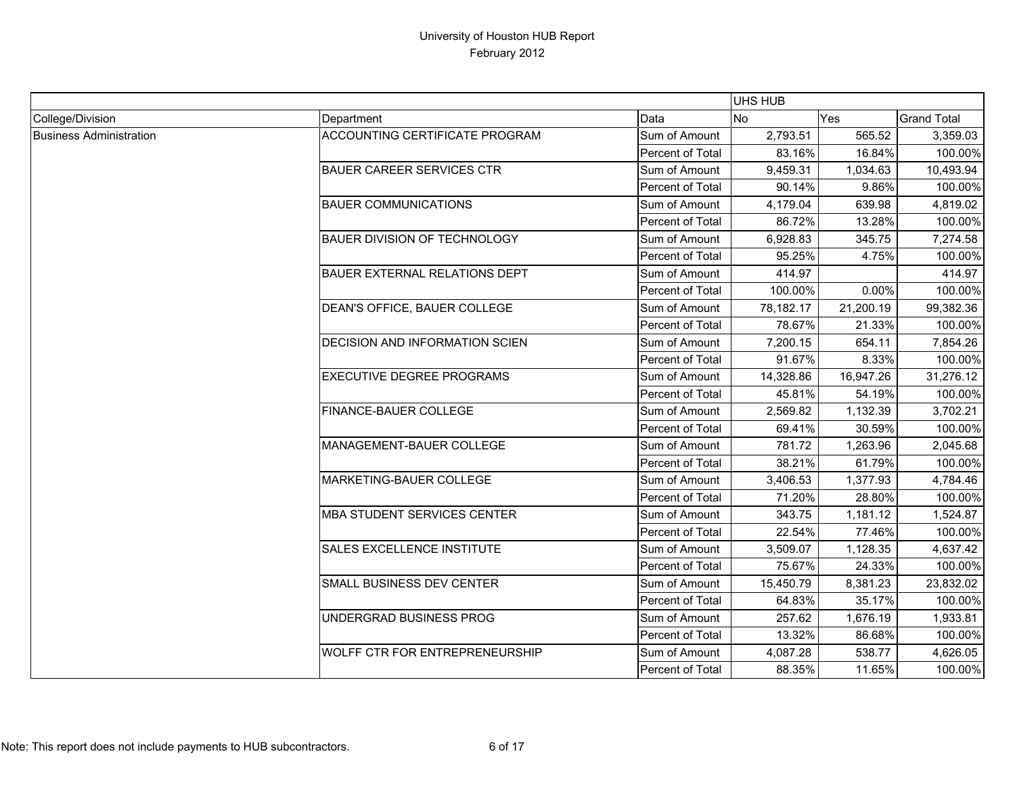|                                |                                       |                  | <b>UHS HUB</b> |           |                    |
|--------------------------------|---------------------------------------|------------------|----------------|-----------|--------------------|
| College/Division               | Department                            | Data             | <b>No</b>      | Yes       | <b>Grand Total</b> |
| <b>Business Administration</b> | ACCOUNTING CERTIFICATE PROGRAM        | Sum of Amount    | 2,793.51       | 565.52    | 3,359.03           |
|                                |                                       | Percent of Total | 83.16%         | 16.84%    | 100.00%            |
|                                | <b>BAUER CAREER SERVICES CTR</b>      | Sum of Amount    | 9,459.31       | 1,034.63  | 10,493.94          |
|                                |                                       | Percent of Total | 90.14%         | 9.86%     | 100.00%            |
|                                | <b>BAUER COMMUNICATIONS</b>           | Sum of Amount    | 4,179.04       | 639.98    | 4,819.02           |
|                                |                                       | Percent of Total | 86.72%         | 13.28%    | 100.00%            |
|                                | <b>BAUER DIVISION OF TECHNOLOGY</b>   | Sum of Amount    | 6,928.83       | 345.75    | 7,274.58           |
|                                |                                       | Percent of Total | 95.25%         | 4.75%     | 100.00%            |
|                                | <b>BAUER EXTERNAL RELATIONS DEPT</b>  | Sum of Amount    | 414.97         |           | 414.97             |
|                                |                                       | Percent of Total | 100.00%        | 0.00%     | 100.00%            |
|                                | DEAN'S OFFICE, BAUER COLLEGE          | Sum of Amount    | 78,182.17      | 21,200.19 | 99,382.36          |
|                                |                                       | Percent of Total | 78.67%         | 21.33%    | 100.00%            |
|                                | <b>DECISION AND INFORMATION SCIEN</b> | Sum of Amount    | 7,200.15       | 654.11    | 7,854.26           |
|                                |                                       | Percent of Total | 91.67%         | 8.33%     | 100.00%            |
|                                | <b>EXECUTIVE DEGREE PROGRAMS</b>      | Sum of Amount    | 14,328.86      | 16,947.26 | 31,276.12          |
|                                |                                       | Percent of Total | 45.81%         | 54.19%    | 100.00%            |
|                                | FINANCE-BAUER COLLEGE                 | Sum of Amount    | 2,569.82       | 1,132.39  | 3,702.21           |
|                                |                                       | Percent of Total | 69.41%         | 30.59%    | 100.00%            |
|                                | MANAGEMENT-BAUER COLLEGE              | Sum of Amount    | 781.72         | 1,263.96  | 2,045.68           |
|                                |                                       | Percent of Total | 38.21%         | 61.79%    | 100.00%            |
|                                | MARKETING-BAUER COLLEGE               | Sum of Amount    | 3,406.53       | 1,377.93  | 4,784.46           |
|                                |                                       | Percent of Total | 71.20%         | 28.80%    | 100.00%            |
|                                | <b>MBA STUDENT SERVICES CENTER</b>    | Sum of Amount    | 343.75         | 1,181.12  | 1,524.87           |
|                                |                                       | Percent of Total | 22.54%         | 77.46%    | 100.00%            |
|                                | SALES EXCELLENCE INSTITUTE            | Sum of Amount    | 3,509.07       | 1,128.35  | 4,637.42           |
|                                |                                       | Percent of Total | 75.67%         | 24.33%    | 100.00%            |
|                                | SMALL BUSINESS DEV CENTER             | Sum of Amount    | 15,450.79      | 8,381.23  | 23,832.02          |
|                                |                                       | Percent of Total | 64.83%         | 35.17%    | 100.00%            |
|                                | UNDERGRAD BUSINESS PROG               | Sum of Amount    | 257.62         | 1,676.19  | 1,933.81           |
|                                |                                       | Percent of Total | 13.32%         | 86.68%    | 100.00%            |
|                                | WOLFF CTR FOR ENTREPRENEURSHIP        | Sum of Amount    | 4,087.28       | 538.77    | 4,626.05           |
|                                |                                       | Percent of Total | 88.35%         | 11.65%    | 100.00%            |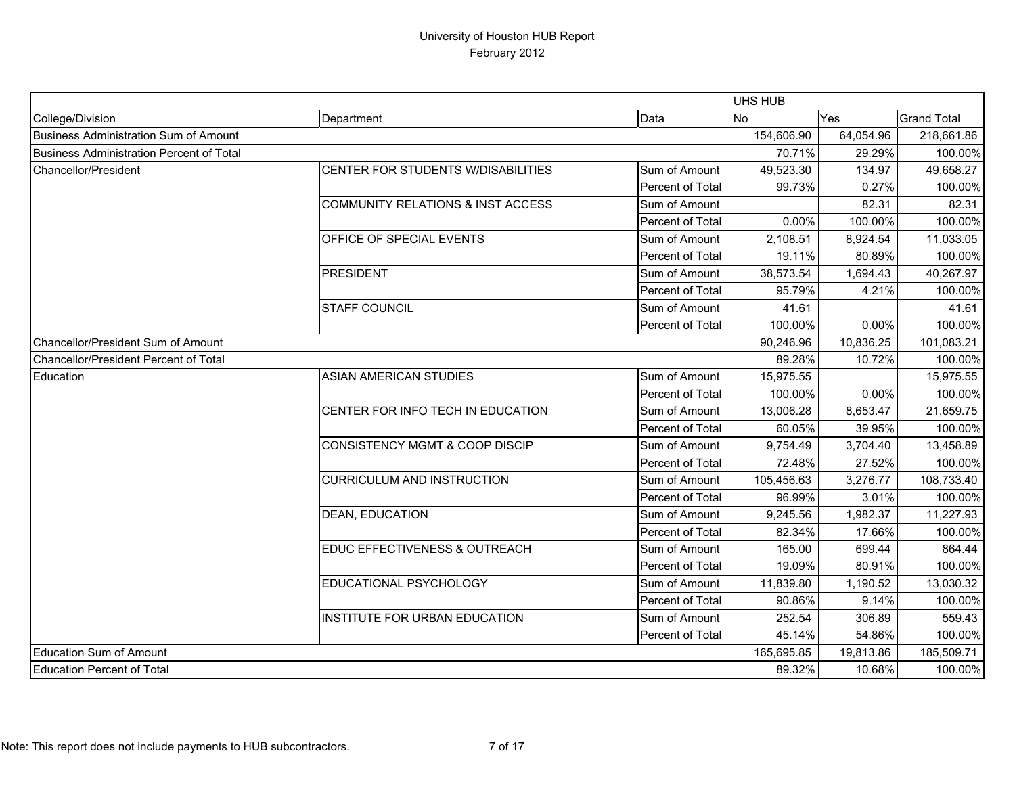|                                          |                                           |                  | <b>UHS HUB</b> |           |                    |
|------------------------------------------|-------------------------------------------|------------------|----------------|-----------|--------------------|
| College/Division                         | Department                                | Data             | No             | Yes       | <b>Grand Total</b> |
| Business Administration Sum of Amount    |                                           |                  | 154,606.90     | 64,054.96 | 218,661.86         |
| Business Administration Percent of Total |                                           |                  | 70.71%         | 29.29%    | 100.00%            |
| Chancellor/President                     | CENTER FOR STUDENTS W/DISABILITIES        | Sum of Amount    | 49,523.30      | 134.97    | 49,658.27          |
|                                          |                                           | Percent of Total | 99.73%         | 0.27%     | 100.00%            |
|                                          | COMMUNITY RELATIONS & INST ACCESS         | Sum of Amount    |                | 82.31     | 82.31              |
|                                          |                                           | Percent of Total | $0.00\%$       | 100.00%   | 100.00%            |
|                                          | OFFICE OF SPECIAL EVENTS                  | Sum of Amount    | 2,108.51       | 8,924.54  | 11,033.05          |
|                                          |                                           | Percent of Total | 19.11%         | 80.89%    | 100.00%            |
|                                          | <b>PRESIDENT</b>                          | Sum of Amount    | 38,573.54      | 1,694.43  | 40,267.97          |
|                                          |                                           | Percent of Total | 95.79%         | 4.21%     | 100.00%            |
|                                          | <b>STAFF COUNCIL</b>                      | Sum of Amount    | 41.61          |           | 41.61              |
|                                          |                                           | Percent of Total | 100.00%        | 0.00%     | 100.00%            |
| Chancellor/President Sum of Amount       |                                           |                  | 90,246.96      | 10,836.25 | 101,083.21         |
| Chancellor/President Percent of Total    |                                           |                  | 89.28%         | 10.72%    | 100.00%            |
| Education                                | <b>ASIAN AMERICAN STUDIES</b>             | Sum of Amount    | 15,975.55      |           | 15,975.55          |
|                                          |                                           | Percent of Total | 100.00%        | 0.00%     | 100.00%            |
|                                          | CENTER FOR INFO TECH IN EDUCATION         | Sum of Amount    | 13,006.28      | 8,653.47  | 21,659.75          |
|                                          |                                           | Percent of Total | 60.05%         | 39.95%    | 100.00%            |
|                                          | <b>CONSISTENCY MGMT &amp; COOP DISCIP</b> | Sum of Amount    | 9,754.49       | 3,704.40  | 13,458.89          |
|                                          |                                           | Percent of Total | 72.48%         | 27.52%    | 100.00%            |
|                                          | <b>CURRICULUM AND INSTRUCTION</b>         | Sum of Amount    | 105,456.63     | 3,276.77  | 108,733.40         |
|                                          |                                           | Percent of Total | 96.99%         | 3.01%     | 100.00%            |
|                                          | <b>DEAN, EDUCATION</b>                    | Sum of Amount    | 9,245.56       | 1,982.37  | 11,227.93          |
|                                          |                                           | Percent of Total | 82.34%         | 17.66%    | 100.00%            |
|                                          | EDUC EFFECTIVENESS & OUTREACH             | Sum of Amount    | 165.00         | 699.44    | 864.44             |
|                                          |                                           | Percent of Total | 19.09%         | 80.91%    | 100.00%            |
|                                          | EDUCATIONAL PSYCHOLOGY                    | Sum of Amount    | 11,839.80      | 1,190.52  | 13,030.32          |
|                                          |                                           | Percent of Total | 90.86%         | 9.14%     | 100.00%            |
|                                          | INSTITUTE FOR URBAN EDUCATION             | Sum of Amount    | 252.54         | 306.89    | 559.43             |
|                                          |                                           | Percent of Total | 45.14%         | 54.86%    | 100.00%            |
| Education Sum of Amount                  |                                           |                  | 165,695.85     | 19,813.86 | 185,509.71         |
| Education Percent of Total               |                                           |                  | 89.32%         | 10.68%    | 100.00%            |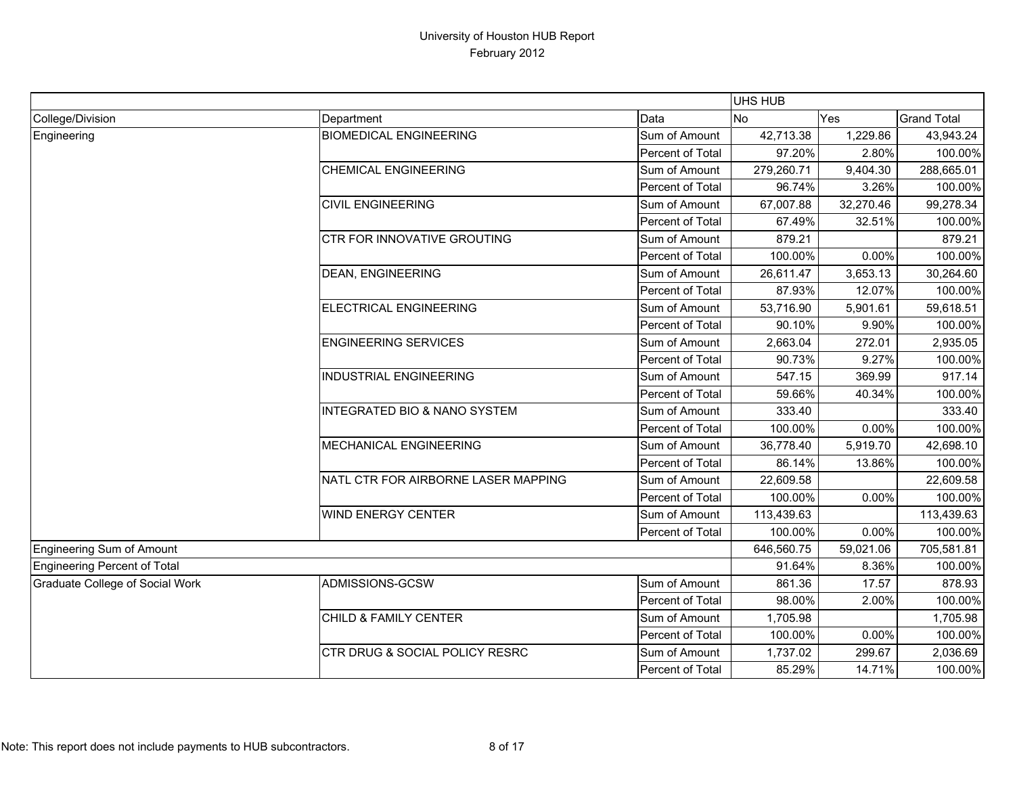|                                  |                                         |                  | UHS HUB    |           |                    |
|----------------------------------|-----------------------------------------|------------------|------------|-----------|--------------------|
| College/Division                 | Department                              | Data             | <b>No</b>  | Yes       | <b>Grand Total</b> |
| Engineering                      | <b>BIOMEDICAL ENGINEERING</b>           | Sum of Amount    | 42,713.38  | 1,229.86  | 43,943.24          |
|                                  |                                         | Percent of Total | 97.20%     | 2.80%     | 100.00%            |
|                                  | <b>CHEMICAL ENGINEERING</b>             | Sum of Amount    | 279,260.71 | 9,404.30  | 288,665.01         |
|                                  |                                         | Percent of Total | 96.74%     | 3.26%     | 100.00%            |
|                                  | <b>CIVIL ENGINEERING</b>                | Sum of Amount    | 67,007.88  | 32,270.46 | 99,278.34          |
|                                  |                                         | Percent of Total | 67.49%     | 32.51%    | 100.00%            |
|                                  | CTR FOR INNOVATIVE GROUTING             | Sum of Amount    | 879.21     |           | 879.21             |
|                                  |                                         | Percent of Total | 100.00%    | 0.00%     | 100.00%            |
|                                  | <b>DEAN, ENGINEERING</b>                | Sum of Amount    | 26,611.47  | 3,653.13  | 30,264.60          |
|                                  |                                         | Percent of Total | 87.93%     | 12.07%    | 100.00%            |
|                                  | ELECTRICAL ENGINEERING                  | Sum of Amount    | 53,716.90  | 5,901.61  | 59,618.51          |
|                                  |                                         | Percent of Total | 90.10%     | 9.90%     | 100.00%            |
|                                  | <b>ENGINEERING SERVICES</b>             | Sum of Amount    | 2,663.04   | 272.01    | 2,935.05           |
|                                  |                                         | Percent of Total | 90.73%     | 9.27%     | 100.00%            |
|                                  | <b>INDUSTRIAL ENGINEERING</b>           | Sum of Amount    | 547.15     | 369.99    | 917.14             |
|                                  |                                         | Percent of Total | 59.66%     | 40.34%    | 100.00%            |
|                                  | <b>INTEGRATED BIO &amp; NANO SYSTEM</b> | Sum of Amount    | 333.40     |           | 333.40             |
|                                  |                                         | Percent of Total | 100.00%    | 0.00%     | 100.00%            |
|                                  | MECHANICAL ENGINEERING                  | Sum of Amount    | 36,778.40  | 5,919.70  | 42,698.10          |
|                                  |                                         | Percent of Total | 86.14%     | 13.86%    | 100.00%            |
|                                  | NATL CTR FOR AIRBORNE LASER MAPPING     | Sum of Amount    | 22,609.58  |           | 22,609.58          |
|                                  |                                         | Percent of Total | 100.00%    | 0.00%     | 100.00%            |
|                                  | <b>WIND ENERGY CENTER</b>               | Sum of Amount    | 113,439.63 |           | 113,439.63         |
|                                  |                                         | Percent of Total | 100.00%    | 0.00%     | 100.00%            |
| <b>Engineering Sum of Amount</b> |                                         |                  | 646,560.75 | 59,021.06 | 705,581.81         |
| Engineering Percent of Total     |                                         |                  | 91.64%     | 8.36%     | 100.00%            |
| Graduate College of Social Work  | ADMISSIONS-GCSW                         | Sum of Amount    | 861.36     | 17.57     | 878.93             |
|                                  |                                         | Percent of Total | 98.00%     | 2.00%     | 100.00%            |
|                                  | CHILD & FAMILY CENTER                   | Sum of Amount    | 1,705.98   |           | 1,705.98           |
|                                  |                                         | Percent of Total | 100.00%    | 0.00%     | 100.00%            |
|                                  | CTR DRUG & SOCIAL POLICY RESRC          | Sum of Amount    | 1,737.02   | 299.67    | 2,036.69           |
|                                  |                                         | Percent of Total | 85.29%     | 14.71%    | 100.00%            |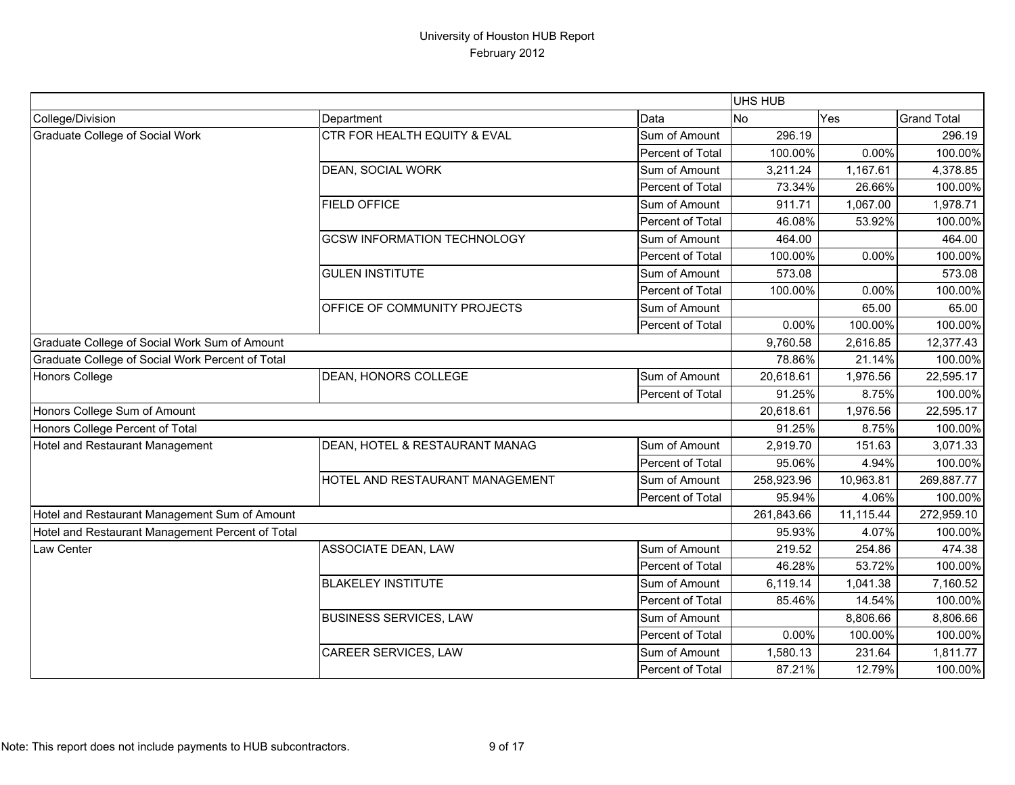|                                                  |                                         |                  | UHS HUB    |           |                    |
|--------------------------------------------------|-----------------------------------------|------------------|------------|-----------|--------------------|
| College/Division                                 | Department                              | Data             | <b>No</b>  | Yes       | <b>Grand Total</b> |
| Graduate College of Social Work                  | <b>CTR FOR HEALTH EQUITY &amp; EVAL</b> | Sum of Amount    | 296.19     |           | 296.19             |
|                                                  |                                         | Percent of Total | 100.00%    | 0.00%     | 100.00%            |
|                                                  | DEAN, SOCIAL WORK                       | Sum of Amount    | 3,211.24   | 1,167.61  | 4,378.85           |
|                                                  |                                         | Percent of Total | 73.34%     | 26.66%    | 100.00%            |
|                                                  | <b>FIELD OFFICE</b>                     | Sum of Amount    | 911.71     | 1,067.00  | 1,978.71           |
|                                                  |                                         | Percent of Total | 46.08%     | 53.92%    | 100.00%            |
|                                                  | <b>GCSW INFORMATION TECHNOLOGY</b>      | Sum of Amount    | 464.00     |           | 464.00             |
|                                                  |                                         | Percent of Total | 100.00%    | 0.00%     | 100.00%            |
|                                                  | <b>GULEN INSTITUTE</b>                  | Sum of Amount    | 573.08     |           | 573.08             |
|                                                  |                                         | Percent of Total | 100.00%    | 0.00%     | 100.00%            |
|                                                  | OFFICE OF COMMUNITY PROJECTS            | Sum of Amount    |            | 65.00     | 65.00              |
|                                                  |                                         | Percent of Total | 0.00%      | 100.00%   | 100.00%            |
| Graduate College of Social Work Sum of Amount    |                                         |                  | 9,760.58   | 2,616.85  | 12,377.43          |
| Graduate College of Social Work Percent of Total |                                         |                  | 78.86%     | 21.14%    | 100.00%            |
| <b>Honors College</b>                            | DEAN, HONORS COLLEGE                    | Sum of Amount    | 20,618.61  | 1,976.56  | 22,595.17          |
|                                                  |                                         | Percent of Total | 91.25%     | 8.75%     | 100.00%            |
| Honors College Sum of Amount                     |                                         |                  | 20,618.61  | 1,976.56  | 22,595.17          |
| Honors College Percent of Total                  |                                         |                  | 91.25%     | 8.75%     | 100.00%            |
| Hotel and Restaurant Management                  | DEAN, HOTEL & RESTAURANT MANAG          | Sum of Amount    | 2,919.70   | 151.63    | 3,071.33           |
|                                                  |                                         | Percent of Total | 95.06%     | 4.94%     | 100.00%            |
|                                                  | HOTEL AND RESTAURANT MANAGEMENT         | Sum of Amount    | 258,923.96 | 10,963.81 | 269,887.77         |
|                                                  |                                         | Percent of Total | 95.94%     | 4.06%     | 100.00%            |
| Hotel and Restaurant Management Sum of Amount    |                                         |                  | 261,843.66 | 11,115.44 | 272,959.10         |
| Hotel and Restaurant Management Percent of Total |                                         |                  | 95.93%     | 4.07%     | 100.00%            |
| Law Center                                       | ASSOCIATE DEAN, LAW                     | Sum of Amount    | 219.52     | 254.86    | 474.38             |
|                                                  |                                         | Percent of Total | 46.28%     | 53.72%    | 100.00%            |
|                                                  | <b>BLAKELEY INSTITUTE</b>               | Sum of Amount    | 6,119.14   | 1,041.38  | 7,160.52           |
|                                                  |                                         | Percent of Total | 85.46%     | 14.54%    | 100.00%            |
|                                                  | <b>BUSINESS SERVICES, LAW</b>           | Sum of Amount    |            | 8,806.66  | 8,806.66           |
|                                                  |                                         | Percent of Total | 0.00%      | 100.00%   | 100.00%            |
|                                                  | CAREER SERVICES, LAW                    | Sum of Amount    | 1,580.13   | 231.64    | 1,811.77           |
|                                                  |                                         | Percent of Total | 87.21%     | 12.79%    | 100.00%            |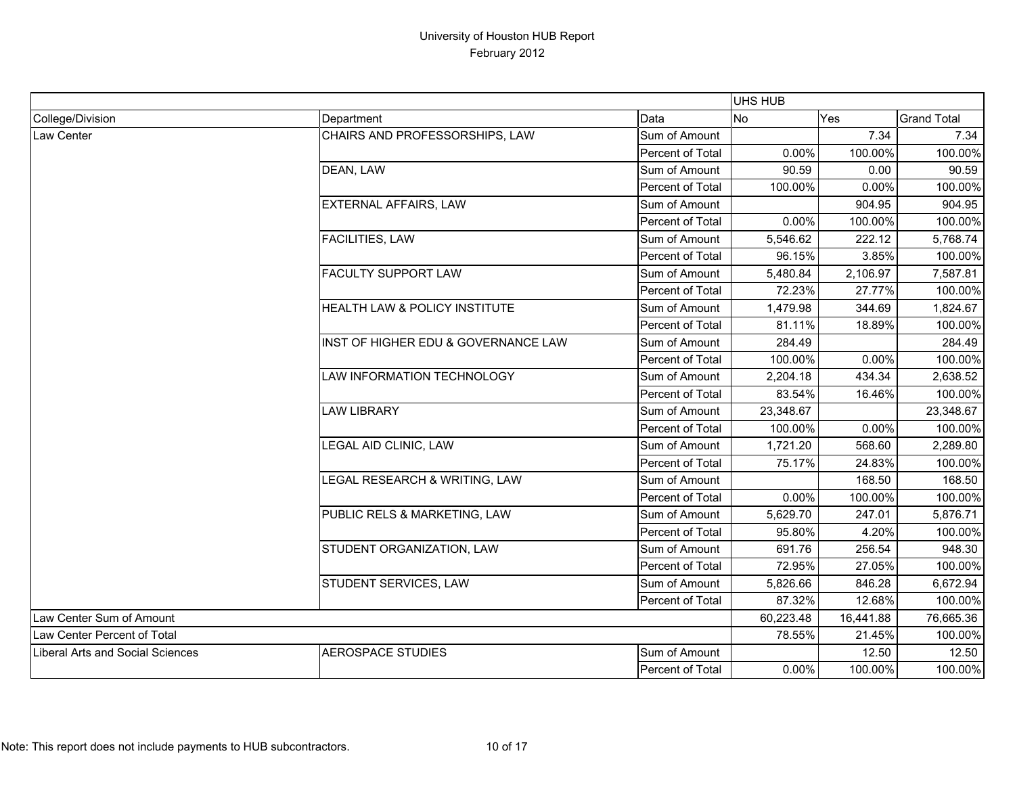|                                         |                                          |                         | UHS HUB   |           |                    |
|-----------------------------------------|------------------------------------------|-------------------------|-----------|-----------|--------------------|
| College/Division                        | Department                               | Data                    | No        | Yes       | <b>Grand Total</b> |
| <b>Law Center</b>                       | CHAIRS AND PROFESSORSHIPS, LAW           | Sum of Amount           |           | 7.34      | 7.34               |
|                                         |                                          | <b>Percent of Total</b> | 0.00%     | 100.00%   | 100.00%            |
|                                         | DEAN, LAW                                | Sum of Amount           | 90.59     | 0.00      | 90.59              |
|                                         |                                          | Percent of Total        | 100.00%   | 0.00%     | 100.00%            |
|                                         | <b>EXTERNAL AFFAIRS, LAW</b>             | Sum of Amount           |           | 904.95    | 904.95             |
|                                         |                                          | Percent of Total        | 0.00%     | 100.00%   | 100.00%            |
|                                         | <b>FACILITIES, LAW</b>                   | Sum of Amount           | 5,546.62  | 222.12    | 5,768.74           |
|                                         |                                          | Percent of Total        | 96.15%    | 3.85%     | 100.00%            |
|                                         | <b>FACULTY SUPPORT LAW</b>               | Sum of Amount           | 5,480.84  | 2,106.97  | 7,587.81           |
|                                         |                                          | Percent of Total        | 72.23%    | 27.77%    | 100.00%            |
|                                         | <b>HEALTH LAW &amp; POLICY INSTITUTE</b> | Sum of Amount           | 1,479.98  | 344.69    | 1,824.67           |
|                                         |                                          | Percent of Total        | 81.11%    | 18.89%    | 100.00%            |
|                                         | INST OF HIGHER EDU & GOVERNANCE LAW      | Sum of Amount           | 284.49    |           | 284.49             |
|                                         |                                          | Percent of Total        | 100.00%   | 0.00%     | 100.00%            |
|                                         | LAW INFORMATION TECHNOLOGY               | Sum of Amount           | 2,204.18  | 434.34    | 2,638.52           |
|                                         |                                          | Percent of Total        | 83.54%    | 16.46%    | 100.00%            |
|                                         | <b>LAW LIBRARY</b>                       | Sum of Amount           | 23,348.67 |           | 23,348.67          |
|                                         |                                          | Percent of Total        | 100.00%   | 0.00%     | 100.00%            |
|                                         | LEGAL AID CLINIC, LAW                    | Sum of Amount           | 1,721.20  | 568.60    | 2,289.80           |
|                                         |                                          | Percent of Total        | 75.17%    | 24.83%    | 100.00%            |
|                                         | LEGAL RESEARCH & WRITING, LAW            | Sum of Amount           |           | 168.50    | 168.50             |
|                                         |                                          | Percent of Total        | 0.00%     | 100.00%   | 100.00%            |
|                                         | PUBLIC RELS & MARKETING, LAW             | Sum of Amount           | 5,629.70  | 247.01    | 5,876.71           |
|                                         |                                          | Percent of Total        | 95.80%    | 4.20%     | 100.00%            |
|                                         | STUDENT ORGANIZATION, LAW                | Sum of Amount           | 691.76    | 256.54    | 948.30             |
|                                         |                                          | Percent of Total        | 72.95%    | 27.05%    | 100.00%            |
|                                         | STUDENT SERVICES, LAW                    | Sum of Amount           | 5,826.66  | 846.28    | 6,672.94           |
|                                         |                                          | Percent of Total        | 87.32%    | 12.68%    | 100.00%            |
| Law Center Sum of Amount                |                                          |                         | 60,223.48 | 16,441.88 | 76,665.36          |
| Law Center Percent of Total             |                                          |                         | 78.55%    | 21.45%    | 100.00%            |
| <b>Liberal Arts and Social Sciences</b> | <b>AEROSPACE STUDIES</b>                 | Sum of Amount           |           | 12.50     | 12.50              |
|                                         |                                          | <b>Percent of Total</b> | 0.00%     | 100.00%   | 100.00%            |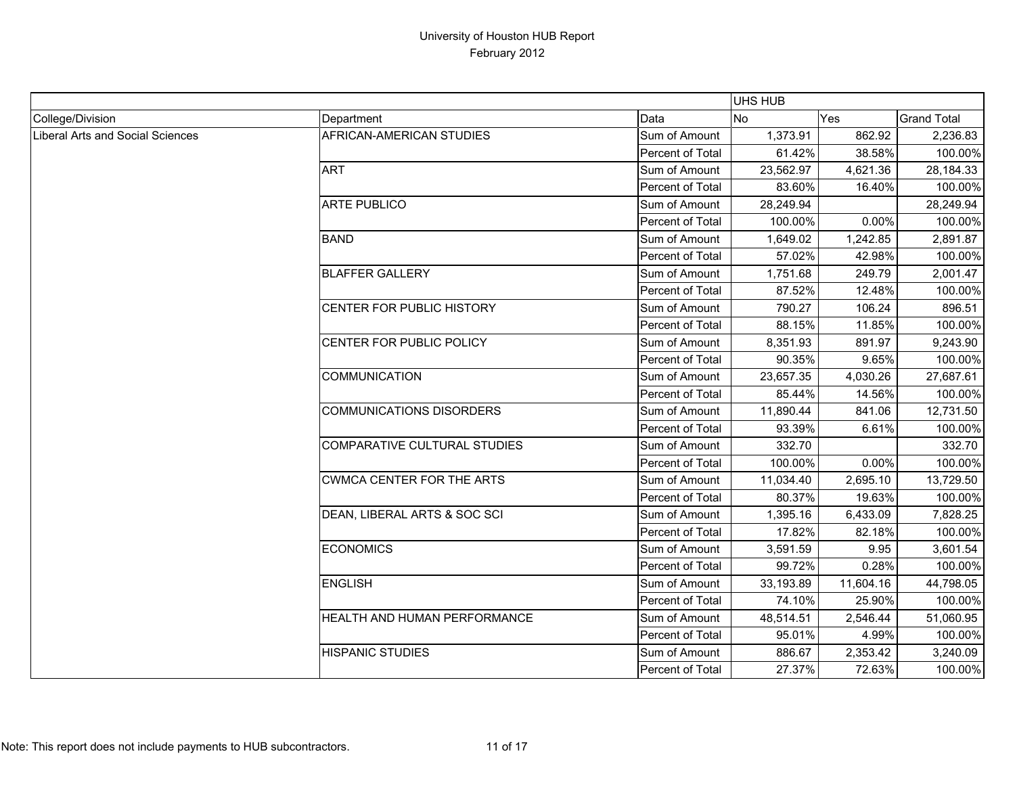|                                  |                                  |                  | UHS HUB   |           |                    |
|----------------------------------|----------------------------------|------------------|-----------|-----------|--------------------|
| College/Division                 | Department                       | Data             | <b>No</b> | Yes       | <b>Grand Total</b> |
| Liberal Arts and Social Sciences | AFRICAN-AMERICAN STUDIES         | Sum of Amount    | 1,373.91  | 862.92    | 2,236.83           |
|                                  |                                  | Percent of Total | 61.42%    | 38.58%    | 100.00%            |
|                                  | <b>ART</b>                       | Sum of Amount    | 23,562.97 | 4,621.36  | 28,184.33          |
|                                  |                                  | Percent of Total | 83.60%    | 16.40%    | 100.00%            |
|                                  | <b>ARTE PUBLICO</b>              | Sum of Amount    | 28,249.94 |           | 28,249.94          |
|                                  |                                  | Percent of Total | 100.00%   | 0.00%     | 100.00%            |
|                                  | <b>BAND</b>                      | Sum of Amount    | 1,649.02  | 1,242.85  | 2,891.87           |
|                                  |                                  | Percent of Total | 57.02%    | 42.98%    | 100.00%            |
|                                  | <b>BLAFFER GALLERY</b>           | Sum of Amount    | 1,751.68  | 249.79    | 2,001.47           |
|                                  |                                  | Percent of Total | 87.52%    | 12.48%    | 100.00%            |
|                                  | CENTER FOR PUBLIC HISTORY        | Sum of Amount    | 790.27    | 106.24    | 896.51             |
|                                  |                                  | Percent of Total | 88.15%    | 11.85%    | 100.00%            |
|                                  | CENTER FOR PUBLIC POLICY         | Sum of Amount    | 8,351.93  | 891.97    | 9,243.90           |
|                                  |                                  | Percent of Total | 90.35%    | 9.65%     | 100.00%            |
|                                  | <b>COMMUNICATION</b>             | Sum of Amount    | 23,657.35 | 4,030.26  | 27,687.61          |
|                                  |                                  | Percent of Total | 85.44%    | 14.56%    | 100.00%            |
|                                  | <b>COMMUNICATIONS DISORDERS</b>  | Sum of Amount    | 11,890.44 | 841.06    | 12,731.50          |
|                                  |                                  | Percent of Total | 93.39%    | 6.61%     | 100.00%            |
|                                  | COMPARATIVE CULTURAL STUDIES     | Sum of Amount    | 332.70    |           | 332.70             |
|                                  |                                  | Percent of Total | 100.00%   | 0.00%     | 100.00%            |
|                                  | <b>CWMCA CENTER FOR THE ARTS</b> | Sum of Amount    | 11,034.40 | 2,695.10  | 13,729.50          |
|                                  |                                  | Percent of Total | 80.37%    | 19.63%    | 100.00%            |
|                                  | DEAN, LIBERAL ARTS & SOC SCI     | Sum of Amount    | 1,395.16  | 6,433.09  | 7,828.25           |
|                                  |                                  | Percent of Total | 17.82%    | 82.18%    | 100.00%            |
|                                  | <b>ECONOMICS</b>                 | Sum of Amount    | 3,591.59  | 9.95      | 3,601.54           |
|                                  |                                  | Percent of Total | 99.72%    | 0.28%     | 100.00%            |
|                                  | <b>ENGLISH</b>                   | Sum of Amount    | 33,193.89 | 11,604.16 | 44,798.05          |
|                                  |                                  | Percent of Total | 74.10%    | 25.90%    | 100.00%            |
|                                  | HEALTH AND HUMAN PERFORMANCE     | Sum of Amount    | 48,514.51 | 2,546.44  | 51,060.95          |
|                                  |                                  | Percent of Total | 95.01%    | 4.99%     | 100.00%            |
|                                  | <b>HISPANIC STUDIES</b>          | Sum of Amount    | 886.67    | 2,353.42  | 3,240.09           |
|                                  |                                  | Percent of Total | 27.37%    | 72.63%    | 100.00%            |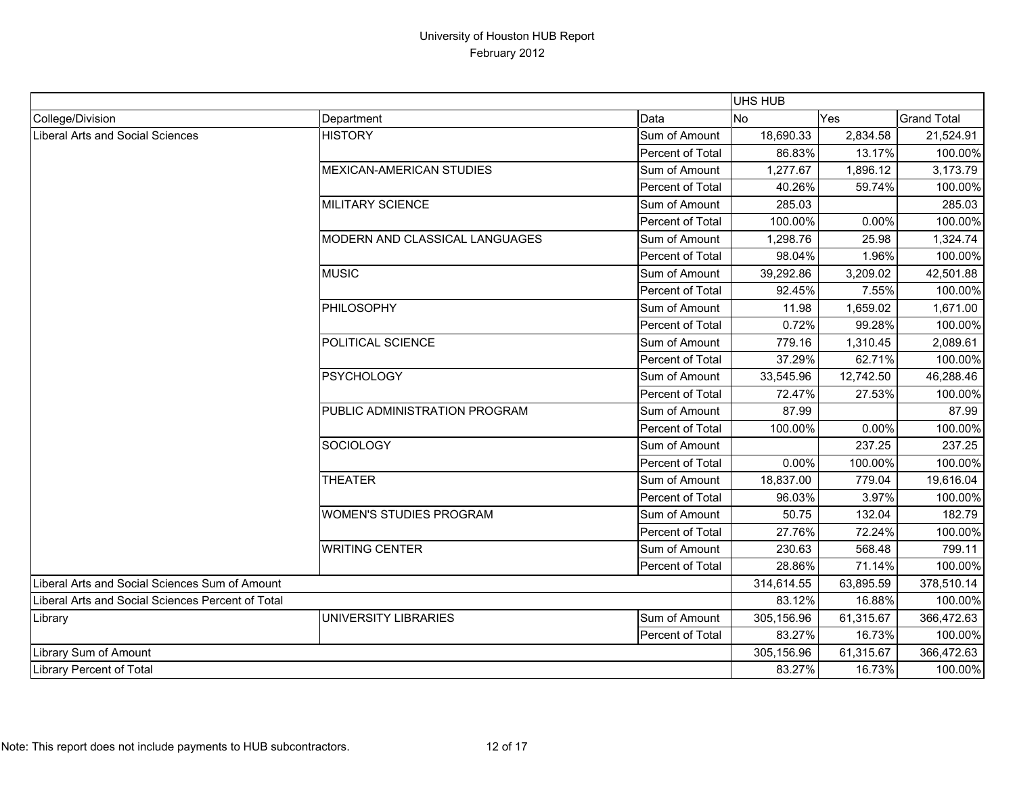|                                                   |                                 |                  | <b>UHS HUB</b> |           |                    |
|---------------------------------------------------|---------------------------------|------------------|----------------|-----------|--------------------|
| College/Division                                  | Department                      | Data             | <b>No</b>      | Yes       | <b>Grand Total</b> |
| Liberal Arts and Social Sciences                  | <b>HISTORY</b>                  | Sum of Amount    | 18,690.33      | 2,834.58  | 21,524.91          |
|                                                   |                                 | Percent of Total | 86.83%         | 13.17%    | 100.00%            |
|                                                   | <b>MEXICAN-AMERICAN STUDIES</b> | Sum of Amount    | 1,277.67       | 1,896.12  | 3,173.79           |
|                                                   |                                 | Percent of Total | 40.26%         | 59.74%    | 100.00%            |
|                                                   | <b>MILITARY SCIENCE</b>         | Sum of Amount    | 285.03         |           | 285.03             |
|                                                   |                                 | Percent of Total | 100.00%        | 0.00%     | 100.00%            |
|                                                   | MODERN AND CLASSICAL LANGUAGES  | Sum of Amount    | 1,298.76       | 25.98     | 1,324.74           |
|                                                   |                                 | Percent of Total | 98.04%         | 1.96%     | 100.00%            |
|                                                   | <b>MUSIC</b>                    | Sum of Amount    | 39,292.86      | 3,209.02  | 42,501.88          |
|                                                   |                                 | Percent of Total | 92.45%         | 7.55%     | 100.00%            |
|                                                   | PHILOSOPHY                      | Sum of Amount    | 11.98          | 1,659.02  | 1,671.00           |
|                                                   |                                 | Percent of Total | 0.72%          | 99.28%    | 100.00%            |
|                                                   | POLITICAL SCIENCE               | Sum of Amount    | 779.16         | 1,310.45  | 2,089.61           |
|                                                   |                                 | Percent of Total | 37.29%         | 62.71%    | 100.00%            |
|                                                   | <b>PSYCHOLOGY</b>               | Sum of Amount    | 33,545.96      | 12,742.50 | 46,288.46          |
|                                                   |                                 | Percent of Total | 72.47%         | 27.53%    | 100.00%            |
|                                                   | PUBLIC ADMINISTRATION PROGRAM   | Sum of Amount    | 87.99          |           | 87.99              |
|                                                   |                                 | Percent of Total | 100.00%        | 0.00%     | 100.00%            |
|                                                   | <b>SOCIOLOGY</b>                | Sum of Amount    |                | 237.25    | 237.25             |
|                                                   |                                 | Percent of Total | 0.00%          | 100.00%   | 100.00%            |
|                                                   | <b>THEATER</b>                  | Sum of Amount    | 18,837.00      | 779.04    | 19,616.04          |
|                                                   |                                 | Percent of Total | 96.03%         | 3.97%     | 100.00%            |
|                                                   | <b>WOMEN'S STUDIES PROGRAM</b>  | Sum of Amount    | 50.75          | 132.04    | 182.79             |
|                                                   |                                 | Percent of Total | 27.76%         | 72.24%    | 100.00%            |
|                                                   | <b>WRITING CENTER</b>           | Sum of Amount    | 230.63         | 568.48    | 799.11             |
|                                                   |                                 | Percent of Total | 28.86%         | 71.14%    | 100.00%            |
| Liberal Arts and Social Sciences Sum of Amount    |                                 |                  | 314,614.55     | 63,895.59 | 378,510.14         |
| Liberal Arts and Social Sciences Percent of Total |                                 |                  | 83.12%         | 16.88%    | 100.00%            |
| Library                                           | UNIVERSITY LIBRARIES            | Sum of Amount    | 305,156.96     | 61,315.67 | 366,472.63         |
|                                                   |                                 | Percent of Total | 83.27%         | 16.73%    | 100.00%            |
| Library Sum of Amount                             |                                 |                  | 305,156.96     | 61,315.67 | 366,472.63         |
| <b>Library Percent of Total</b>                   |                                 |                  | 83.27%         | 16.73%    | 100.00%            |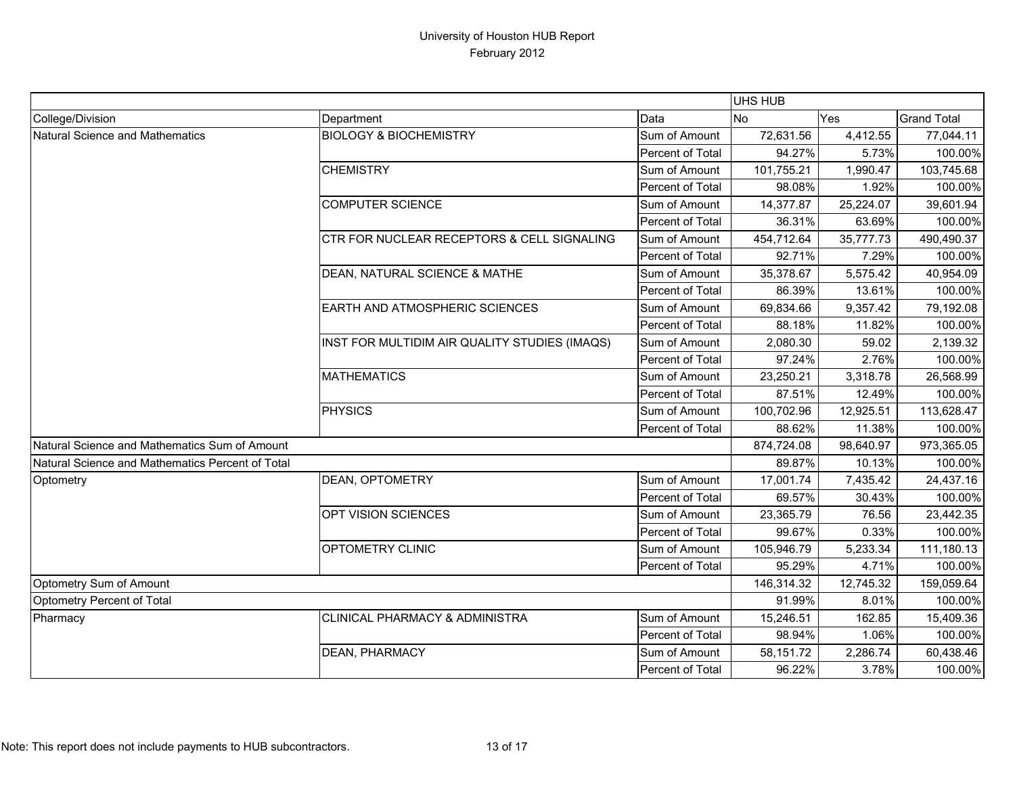|                                                  |                                                       |                         | <b>UHS HUB</b> |            |                    |
|--------------------------------------------------|-------------------------------------------------------|-------------------------|----------------|------------|--------------------|
| College/Division                                 | Department                                            | Data                    | <b>No</b>      | Yes        | <b>Grand Total</b> |
| Natural Science and Mathematics                  | <b>BIOLOGY &amp; BIOCHEMISTRY</b>                     | Sum of Amount           | 72,631.56      | 4,412.55   | 77,044.11          |
|                                                  |                                                       | Percent of Total        | 94.27%         | 5.73%      | 100.00%            |
|                                                  | <b>CHEMISTRY</b>                                      | Sum of Amount           | 101,755.21     | 1,990.47   | 103,745.68         |
|                                                  |                                                       | Percent of Total        | 98.08%         | 1.92%      | 100.00%            |
|                                                  | <b>COMPUTER SCIENCE</b>                               | Sum of Amount           | 14,377.87      | 25,224.07  | 39,601.94          |
|                                                  |                                                       | Percent of Total        | 36.31%         | 63.69%     | 100.00%            |
|                                                  | <b>CTR FOR NUCLEAR RECEPTORS &amp; CELL SIGNALING</b> | Sum of Amount           | 454,712.64     | 35,777.73  | 490,490.37         |
|                                                  |                                                       | <b>Percent of Total</b> | 92.71%         | 7.29%      | 100.00%            |
|                                                  | DEAN, NATURAL SCIENCE & MATHE                         | Sum of Amount           | 35,378.67      | 5,575.42   | 40,954.09          |
|                                                  |                                                       | Percent of Total        | 86.39%         | 13.61%     | 100.00%            |
|                                                  | <b>EARTH AND ATMOSPHERIC SCIENCES</b>                 | Sum of Amount           | 69,834.66      | 9,357.42   | 79,192.08          |
|                                                  |                                                       | Percent of Total        | 88.18%         | 11.82%     | 100.00%            |
|                                                  | INST FOR MULTIDIM AIR QUALITY STUDIES (IMAQS)         | Sum of Amount           | 2,080.30       | 59.02      | 2,139.32           |
|                                                  |                                                       | Percent of Total        | 97.24%         | 2.76%      | 100.00%            |
|                                                  | <b>MATHEMATICS</b>                                    | Sum of Amount           | 23,250.21      | 3,318.78   | 26,568.99          |
|                                                  |                                                       | Percent of Total        | 87.51%         | 12.49%     | 100.00%            |
|                                                  | <b>PHYSICS</b>                                        | Sum of Amount           | 100,702.96     | 12,925.51  | 113,628.47         |
|                                                  |                                                       | Percent of Total        | 88.62%         | 11.38%     | 100.00%            |
| Natural Science and Mathematics Sum of Amount    |                                                       |                         | 874,724.08     | 98,640.97  | 973,365.05         |
| Natural Science and Mathematics Percent of Total |                                                       |                         | 89.87%         | 10.13%     | 100.00%            |
| Optometry                                        | <b>DEAN, OPTOMETRY</b>                                | Sum of Amount           | 17,001.74      | 7,435.42   | 24,437.16          |
|                                                  |                                                       | Percent of Total        | 69.57%         | 30.43%     | 100.00%            |
|                                                  | <b>OPT VISION SCIENCES</b>                            | Sum of Amount           | 23,365.79      | 76.56      | 23,442.35          |
|                                                  |                                                       | Percent of Total        | 99.67%         | 0.33%      | 100.00%            |
|                                                  | <b>OPTOMETRY CLINIC</b>                               | Sum of Amount           | 105,946.79     | 5,233.34   | 111,180.13         |
|                                                  |                                                       | Percent of Total        | 95.29%         | 4.71%      | 100.00%            |
| Optometry Sum of Amount                          |                                                       | 146,314.32              | 12,745.32      | 159,059.64 |                    |
| Optometry Percent of Total                       |                                                       | 91.99%                  | 8.01%          | 100.00%    |                    |
| Pharmacy                                         | <b>CLINICAL PHARMACY &amp; ADMINISTRA</b>             | Sum of Amount           | 15,246.51      | 162.85     | 15,409.36          |
|                                                  |                                                       | Percent of Total        | 98.94%         | 1.06%      | 100.00%            |
|                                                  | <b>DEAN, PHARMACY</b>                                 | Sum of Amount           | 58,151.72      | 2,286.74   | 60,438.46          |
|                                                  |                                                       | Percent of Total        | 96.22%         | 3.78%      | 100.00%            |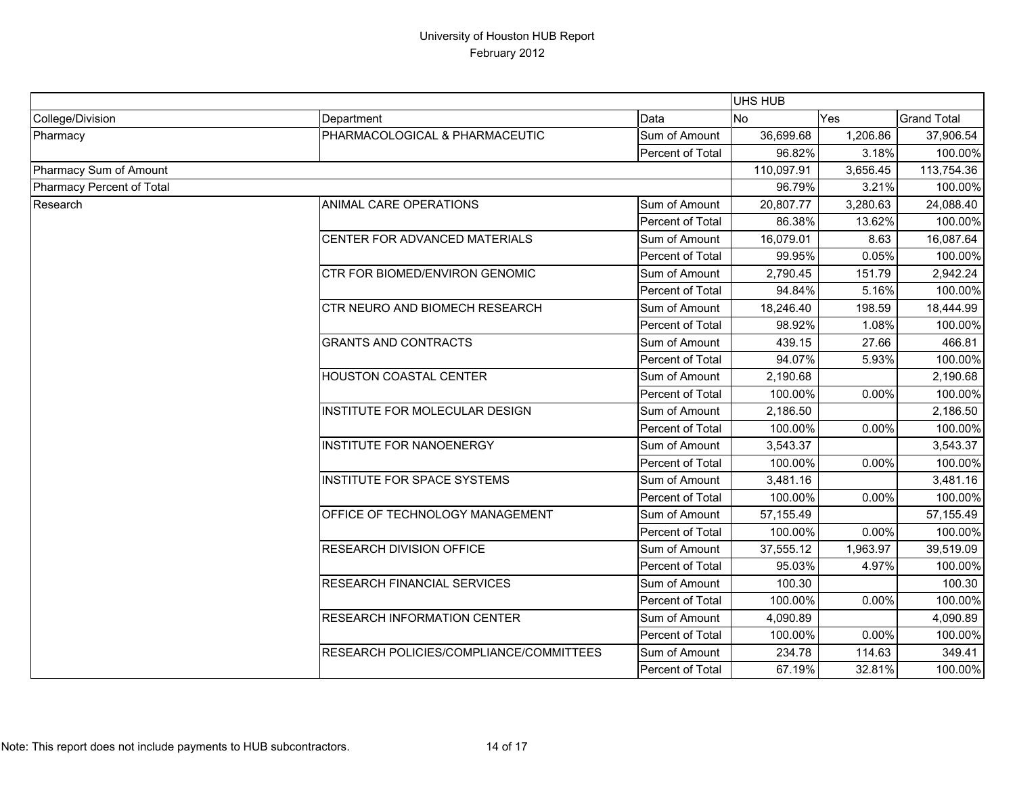|                           |                                         | <b>UHS HUB</b>   |            |          |                    |
|---------------------------|-----------------------------------------|------------------|------------|----------|--------------------|
| College/Division          | Department                              | Data             | <b>No</b>  | Yes      | <b>Grand Total</b> |
| Pharmacy                  | PHARMACOLOGICAL & PHARMACEUTIC          | Sum of Amount    | 36,699.68  | 1,206.86 | 37,906.54          |
|                           |                                         | Percent of Total | 96.82%     | 3.18%    | 100.00%            |
| Pharmacy Sum of Amount    |                                         |                  | 110,097.91 | 3,656.45 | 113,754.36         |
| Pharmacy Percent of Total |                                         |                  | 96.79%     | 3.21%    | 100.00%            |
| Research                  | ANIMAL CARE OPERATIONS                  | Sum of Amount    | 20,807.77  | 3,280.63 | 24,088.40          |
|                           |                                         | Percent of Total | 86.38%     | 13.62%   | 100.00%            |
|                           | CENTER FOR ADVANCED MATERIALS           | Sum of Amount    | 16,079.01  | 8.63     | 16,087.64          |
|                           |                                         | Percent of Total | 99.95%     | 0.05%    | 100.00%            |
|                           | CTR FOR BIOMED/ENVIRON GENOMIC          | Sum of Amount    | 2,790.45   | 151.79   | 2,942.24           |
|                           |                                         | Percent of Total | 94.84%     | 5.16%    | 100.00%            |
|                           | <b>CTR NEURO AND BIOMECH RESEARCH</b>   | Sum of Amount    | 18,246.40  | 198.59   | 18,444.99          |
|                           |                                         | Percent of Total | 98.92%     | 1.08%    | 100.00%            |
|                           | <b>GRANTS AND CONTRACTS</b>             | Sum of Amount    | 439.15     | 27.66    | 466.81             |
|                           |                                         | Percent of Total | 94.07%     | 5.93%    | 100.00%            |
|                           | <b>HOUSTON COASTAL CENTER</b>           | Sum of Amount    | 2,190.68   |          | 2,190.68           |
|                           |                                         | Percent of Total | 100.00%    | 0.00%    | 100.00%            |
|                           | INSTITUTE FOR MOLECULAR DESIGN          | Sum of Amount    | 2,186.50   |          | 2,186.50           |
|                           |                                         | Percent of Total | 100.00%    | 0.00%    | 100.00%            |
|                           | <b>INSTITUTE FOR NANOENERGY</b>         | Sum of Amount    | 3,543.37   |          | 3,543.37           |
|                           |                                         | Percent of Total | 100.00%    | 0.00%    | 100.00%            |
|                           | <b>INSTITUTE FOR SPACE SYSTEMS</b>      | Sum of Amount    | 3,481.16   |          | 3,481.16           |
|                           |                                         | Percent of Total | 100.00%    | $0.00\%$ | 100.00%            |
|                           | OFFICE OF TECHNOLOGY MANAGEMENT         | Sum of Amount    | 57,155.49  |          | 57,155.49          |
|                           |                                         | Percent of Total | 100.00%    | 0.00%    | 100.00%            |
|                           | <b>RESEARCH DIVISION OFFICE</b>         | Sum of Amount    | 37,555.12  | 1,963.97 | 39,519.09          |
|                           |                                         | Percent of Total | 95.03%     | 4.97%    | 100.00%            |
|                           | <b>RESEARCH FINANCIAL SERVICES</b>      | Sum of Amount    | 100.30     |          | 100.30             |
|                           |                                         | Percent of Total | 100.00%    | 0.00%    | 100.00%            |
|                           | <b>RESEARCH INFORMATION CENTER</b>      | Sum of Amount    | 4,090.89   |          | 4,090.89           |
|                           |                                         | Percent of Total | 100.00%    | 0.00%    | 100.00%            |
|                           | RESEARCH POLICIES/COMPLIANCE/COMMITTEES | Sum of Amount    | 234.78     | 114.63   | 349.41             |
|                           |                                         | Percent of Total | 67.19%     | 32.81%   | 100.00%            |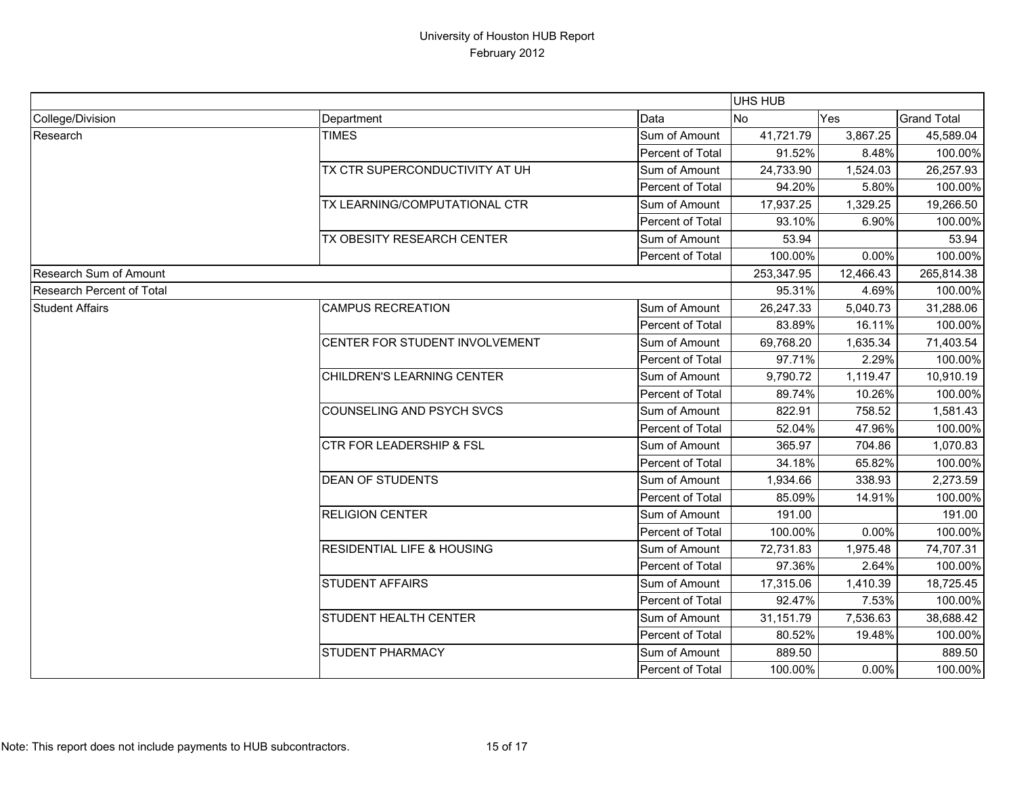|                                  |                                       | UHS HUB          |            |           |                    |
|----------------------------------|---------------------------------------|------------------|------------|-----------|--------------------|
| College/Division                 | Department                            | Data             | <b>No</b>  | Yes       | <b>Grand Total</b> |
| Research                         | <b>TIMES</b>                          | Sum of Amount    | 41,721.79  | 3,867.25  | 45,589.04          |
|                                  |                                       | Percent of Total | 91.52%     | 8.48%     | 100.00%            |
|                                  | TX CTR SUPERCONDUCTIVITY AT UH        | Sum of Amount    | 24,733.90  | 1,524.03  | 26,257.93          |
|                                  |                                       | Percent of Total | 94.20%     | 5.80%     | 100.00%            |
|                                  | TX LEARNING/COMPUTATIONAL CTR         | Sum of Amount    | 17,937.25  | 1,329.25  | 19,266.50          |
|                                  |                                       | Percent of Total | 93.10%     | 6.90%     | 100.00%            |
|                                  | TX OBESITY RESEARCH CENTER            | Sum of Amount    | 53.94      |           | 53.94              |
|                                  |                                       | Percent of Total | 100.00%    | 0.00%     | 100.00%            |
| Research Sum of Amount           |                                       |                  | 253,347.95 | 12,466.43 | 265,814.38         |
| <b>Research Percent of Total</b> |                                       |                  | 95.31%     | 4.69%     | 100.00%            |
| <b>Student Affairs</b>           | <b>CAMPUS RECREATION</b>              | Sum of Amount    | 26,247.33  | 5,040.73  | 31,288.06          |
|                                  |                                       | Percent of Total | 83.89%     | 16.11%    | 100.00%            |
|                                  | CENTER FOR STUDENT INVOLVEMENT        | Sum of Amount    | 69,768.20  | 1,635.34  | 71,403.54          |
|                                  |                                       | Percent of Total | 97.71%     | 2.29%     | 100.00%            |
|                                  | CHILDREN'S LEARNING CENTER            | Sum of Amount    | 9,790.72   | 1,119.47  | 10,910.19          |
|                                  |                                       | Percent of Total | 89.74%     | 10.26%    | 100.00%            |
|                                  | COUNSELING AND PSYCH SVCS             | Sum of Amount    | 822.91     | 758.52    | 1,581.43           |
|                                  |                                       | Percent of Total | 52.04%     | 47.96%    | 100.00%            |
|                                  | <b>CTR FOR LEADERSHIP &amp; FSL</b>   | Sum of Amount    | 365.97     | 704.86    | 1,070.83           |
|                                  |                                       | Percent of Total | 34.18%     | 65.82%    | 100.00%            |
|                                  | <b>DEAN OF STUDENTS</b>               | Sum of Amount    | 1,934.66   | 338.93    | 2,273.59           |
|                                  |                                       | Percent of Total | 85.09%     | 14.91%    | 100.00%            |
|                                  | <b>RELIGION CENTER</b>                | Sum of Amount    | 191.00     |           | 191.00             |
|                                  |                                       | Percent of Total | 100.00%    | 0.00%     | 100.00%            |
|                                  | <b>RESIDENTIAL LIFE &amp; HOUSING</b> | Sum of Amount    | 72,731.83  | 1,975.48  | 74,707.31          |
|                                  |                                       | Percent of Total | 97.36%     | 2.64%     | 100.00%            |
|                                  | <b>STUDENT AFFAIRS</b>                | Sum of Amount    | 17,315.06  | 1,410.39  | 18,725.45          |
|                                  |                                       | Percent of Total | 92.47%     | 7.53%     | 100.00%            |
|                                  | STUDENT HEALTH CENTER                 | Sum of Amount    | 31,151.79  | 7,536.63  | 38,688.42          |
|                                  |                                       | Percent of Total | 80.52%     | 19.48%    | 100.00%            |
|                                  | <b>STUDENT PHARMACY</b>               | Sum of Amount    | 889.50     |           | 889.50             |
|                                  |                                       | Percent of Total | 100.00%    | 0.00%     | 100.00%            |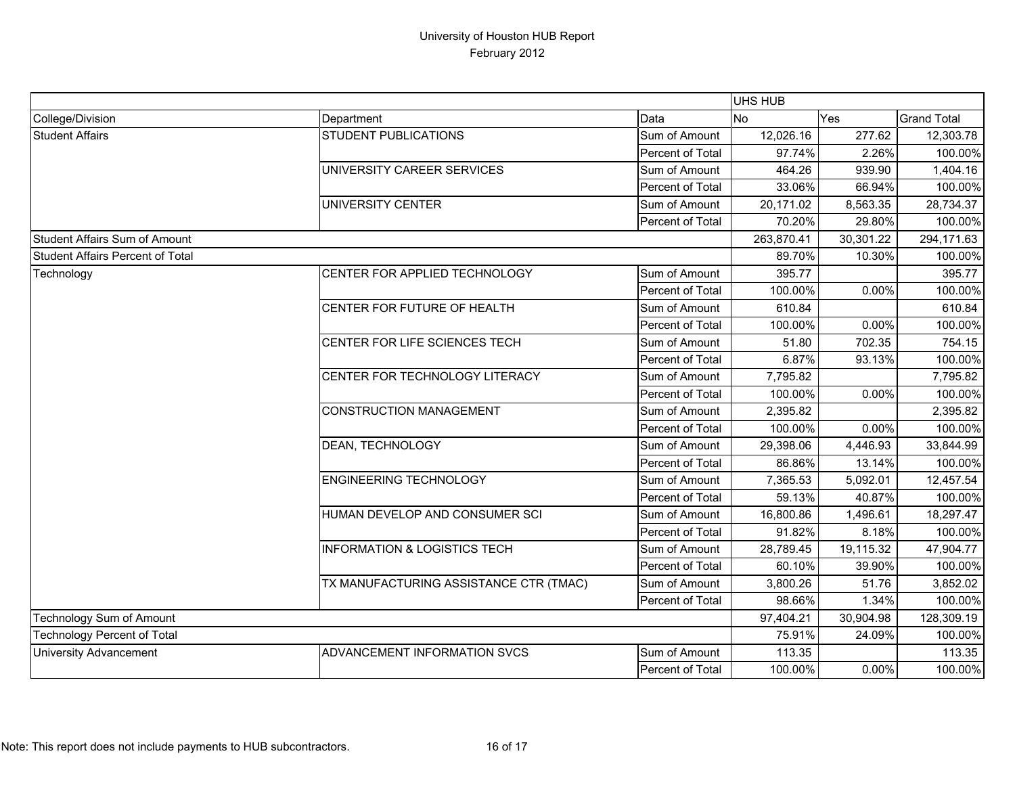|                                         |                                         |                  | <b>UHS HUB</b> |            |                    |
|-----------------------------------------|-----------------------------------------|------------------|----------------|------------|--------------------|
| College/Division                        | Department                              | Data             | No             | Yes        | <b>Grand Total</b> |
| <b>Student Affairs</b>                  | <b>STUDENT PUBLICATIONS</b>             | Sum of Amount    | 12,026.16      | 277.62     | 12,303.78          |
|                                         |                                         | Percent of Total | 97.74%         | 2.26%      | 100.00%            |
|                                         | UNIVERSITY CAREER SERVICES              | Sum of Amount    | 464.26         | 939.90     | 1,404.16           |
|                                         |                                         | Percent of Total | 33.06%         | 66.94%     | 100.00%            |
|                                         | UNIVERSITY CENTER                       | Sum of Amount    | 20,171.02      | 8,563.35   | 28,734.37          |
|                                         |                                         | Percent of Total | 70.20%         | 29.80%     | 100.00%            |
| <b>Student Affairs Sum of Amount</b>    |                                         | 263,870.41       | 30,301.22      | 294,171.63 |                    |
| <b>Student Affairs Percent of Total</b> |                                         |                  | 89.70%         | 10.30%     | 100.00%            |
| Technology                              | CENTER FOR APPLIED TECHNOLOGY           | Sum of Amount    | 395.77         |            | 395.77             |
|                                         |                                         | Percent of Total | 100.00%        | 0.00%      | 100.00%            |
|                                         | CENTER FOR FUTURE OF HEALTH             | Sum of Amount    | 610.84         |            | 610.84             |
|                                         |                                         | Percent of Total | 100.00%        | 0.00%      | 100.00%            |
|                                         | CENTER FOR LIFE SCIENCES TECH           | Sum of Amount    | 51.80          | 702.35     | 754.15             |
|                                         |                                         | Percent of Total | 6.87%          | 93.13%     | 100.00%            |
|                                         | CENTER FOR TECHNOLOGY LITERACY          | Sum of Amount    | 7,795.82       |            | 7,795.82           |
|                                         |                                         | Percent of Total | 100.00%        | 0.00%      | 100.00%            |
|                                         | <b>CONSTRUCTION MANAGEMENT</b>          | Sum of Amount    | 2,395.82       |            | 2,395.82           |
|                                         |                                         | Percent of Total | 100.00%        | 0.00%      | 100.00%            |
|                                         | DEAN, TECHNOLOGY                        | Sum of Amount    | 29,398.06      | 4,446.93   | 33,844.99          |
|                                         |                                         | Percent of Total | 86.86%         | 13.14%     | 100.00%            |
|                                         | <b>ENGINEERING TECHNOLOGY</b>           | Sum of Amount    | 7,365.53       | 5,092.01   | 12,457.54          |
|                                         |                                         | Percent of Total | 59.13%         | 40.87%     | 100.00%            |
|                                         | HUMAN DEVELOP AND CONSUMER SCI          | Sum of Amount    | 16,800.86      | 1,496.61   | 18,297.47          |
|                                         |                                         | Percent of Total | 91.82%         | 8.18%      | 100.00%            |
|                                         | <b>INFORMATION &amp; LOGISTICS TECH</b> | Sum of Amount    | 28,789.45      | 19,115.32  | 47,904.77          |
|                                         |                                         | Percent of Total | 60.10%         | 39.90%     | 100.00%            |
|                                         | TX MANUFACTURING ASSISTANCE CTR (TMAC)  | Sum of Amount    | 3,800.26       | 51.76      | 3,852.02           |
|                                         |                                         | Percent of Total | 98.66%         | 1.34%      | 100.00%            |
| Technology Sum of Amount                |                                         | 97,404.21        | 30,904.98      | 128,309.19 |                    |
| <b>Technology Percent of Total</b>      |                                         | 75.91%           | 24.09%         | 100.00%    |                    |
| <b>University Advancement</b>           | ADVANCEMENT INFORMATION SVCS            | Sum of Amount    | 113.35         |            | 113.35             |
|                                         |                                         | Percent of Total | 100.00%        | 0.00%      | 100.00%            |